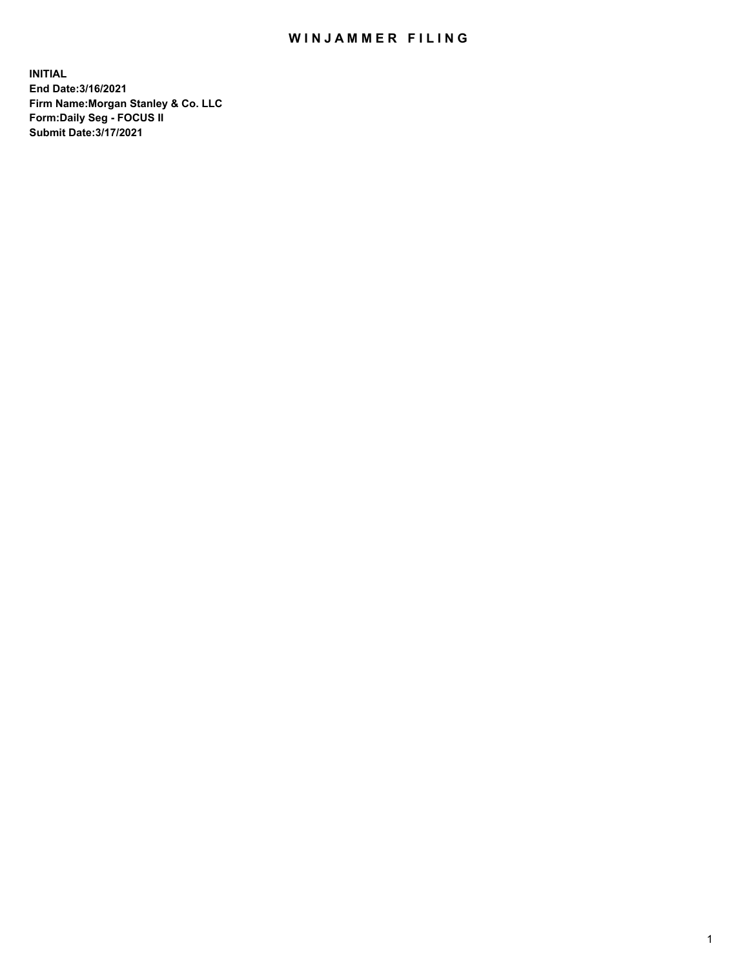## WIN JAMMER FILING

**INITIAL End Date:3/16/2021 Firm Name:Morgan Stanley & Co. LLC Form:Daily Seg - FOCUS II Submit Date:3/17/2021**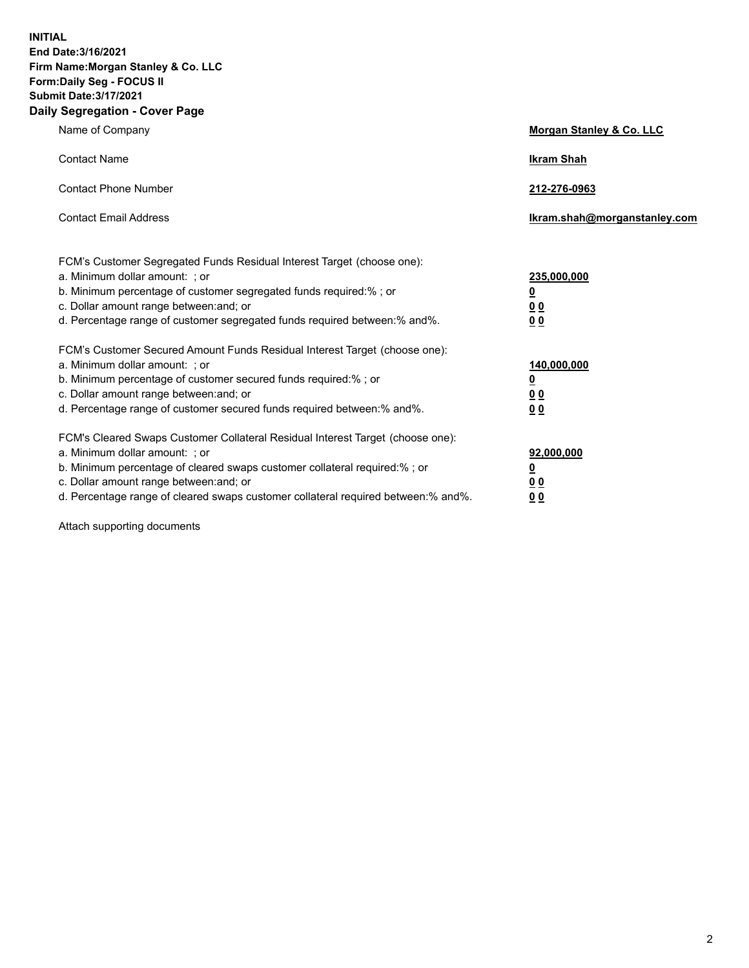**INITIAL End Date:3/16/2021 Firm Name:Morgan Stanley & Co. LLC Form:Daily Seg - FOCUS II Submit Date:3/17/2021 Daily Segregation - Cover Page**

| Name of Company                                                                                                                                                                                                                                                                                                                | <b>Morgan Stanley &amp; Co. LLC</b>                    |
|--------------------------------------------------------------------------------------------------------------------------------------------------------------------------------------------------------------------------------------------------------------------------------------------------------------------------------|--------------------------------------------------------|
| <b>Contact Name</b>                                                                                                                                                                                                                                                                                                            | <b>Ikram Shah</b>                                      |
| <b>Contact Phone Number</b>                                                                                                                                                                                                                                                                                                    | 212-276-0963                                           |
| <b>Contact Email Address</b>                                                                                                                                                                                                                                                                                                   | Ikram.shah@morganstanley.com                           |
| FCM's Customer Segregated Funds Residual Interest Target (choose one):<br>a. Minimum dollar amount: : or<br>b. Minimum percentage of customer segregated funds required:%; or<br>c. Dollar amount range between: and; or<br>d. Percentage range of customer segregated funds required between:% and%.                          | 235,000,000<br><u>0</u><br><u>00</u><br><u>00</u>      |
| FCM's Customer Secured Amount Funds Residual Interest Target (choose one):<br>a. Minimum dollar amount: ; or<br>b. Minimum percentage of customer secured funds required:%; or<br>c. Dollar amount range between: and; or<br>d. Percentage range of customer secured funds required between:% and%.                            | 140,000,000<br><u>0</u><br><u>00</u><br>0 <sub>0</sub> |
| FCM's Cleared Swaps Customer Collateral Residual Interest Target (choose one):<br>a. Minimum dollar amount: ; or<br>b. Minimum percentage of cleared swaps customer collateral required:% ; or<br>c. Dollar amount range between: and; or<br>d. Percentage range of cleared swaps customer collateral required between:% and%. | 92,000,000<br><u>0</u><br><u>00</u><br>00              |

Attach supporting documents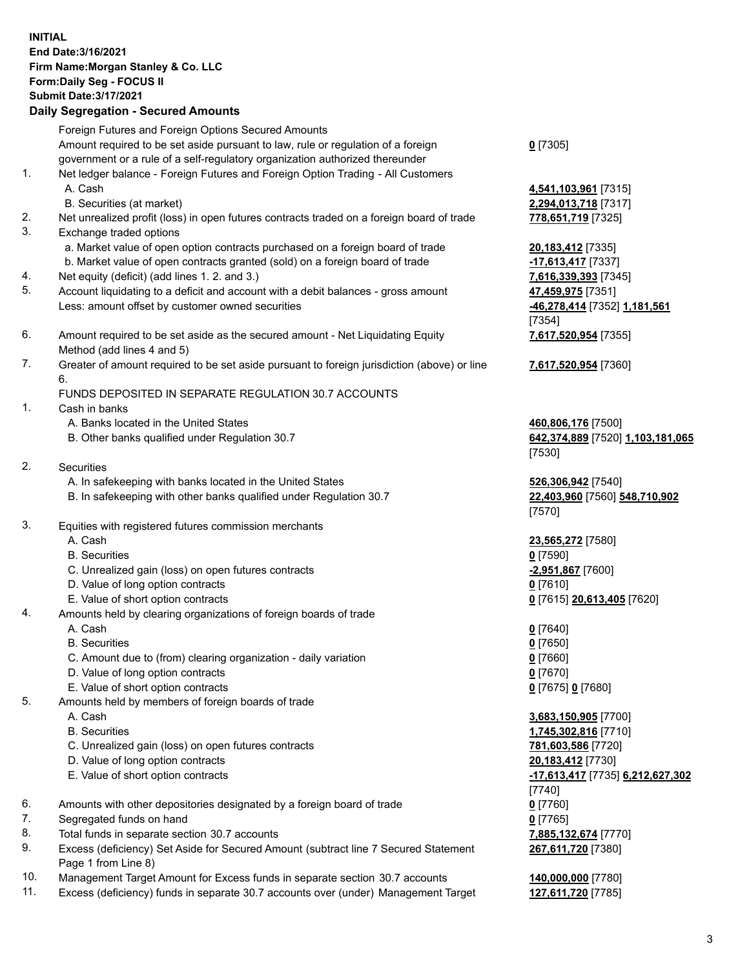## **INITIAL End Date:3/16/2021 Firm Name:Morgan Stanley & Co. LLC Form:Daily Seg - FOCUS II Submit Date:3/17/2021 Daily Segregation - Secured Amounts**

Foreign Futures and Foreign Options Secured Amounts Amount required to be set aside pursuant to law, rule or regulation of a foreign government or a rule of a self-regulatory organization authorized thereunder

- 1. Net ledger balance Foreign Futures and Foreign Option Trading All Customers A. Cash **4,541,103,961** [7315]
	- B. Securities (at market) **2,294,013,718** [7317]
- 2. Net unrealized profit (loss) in open futures contracts traded on a foreign board of trade **778,651,719** [7325]
- 3. Exchange traded options
	- a. Market value of open option contracts purchased on a foreign board of trade **20,183,412** [7335]
	- b. Market value of open contracts granted (sold) on a foreign board of trade **-17,613,417** [7337]
- 4. Net equity (deficit) (add lines 1. 2. and 3.) **7,616,339,393** [7345]
- 5. Account liquidating to a deficit and account with a debit balances gross amount **47,459,975** [7351] Less: amount offset by customer owned securities **-46,278,414** [7352] **1,181,561**
- 6. Amount required to be set aside as the secured amount Net Liquidating Equity Method (add lines 4 and 5)
- 7. Greater of amount required to be set aside pursuant to foreign jurisdiction (above) or line 6.

## FUNDS DEPOSITED IN SEPARATE REGULATION 30.7 ACCOUNTS

- 1. Cash in banks
	- A. Banks located in the United States **460,806,176** [7500]
	- B. Other banks qualified under Regulation 30.7 **642,374,889** [7520] **1,103,181,065**
- 2. Securities
	- A. In safekeeping with banks located in the United States **526,306,942** [7540]
	- B. In safekeeping with other banks qualified under Regulation 30.7 **22,403,960** [7560] **548,710,902**
- 3. Equities with registered futures commission merchants
	-
	- B. Securities **0** [7590]
	- C. Unrealized gain (loss) on open futures contracts **-2,951,867** [7600]
	- D. Value of long option contracts **0** [7610]
	- E. Value of short option contracts **0** [7615] **20,613,405** [7620]
- 4. Amounts held by clearing organizations of foreign boards of trade
	- A. Cash **0** [7640]
	- B. Securities **0** [7650]
	- C. Amount due to (from) clearing organization daily variation **0** [7660]
	- D. Value of long option contracts **0** [7670]
	- E. Value of short option contracts **0** [7675] **0** [7680]
- 5. Amounts held by members of foreign boards of trade
	-
	-
	- C. Unrealized gain (loss) on open futures contracts **781,603,586** [7720]
	- D. Value of long option contracts **20,183,412** [7730]
	-
- 6. Amounts with other depositories designated by a foreign board of trade **0** [7760]
- 7. Segregated funds on hand **0** [7765]
- 8. Total funds in separate section 30.7 accounts **7,885,132,674** [7770]
- 9. Excess (deficiency) Set Aside for Secured Amount (subtract line 7 Secured Statement Page 1 from Line 8)
- 10. Management Target Amount for Excess funds in separate section 30.7 accounts **140,000,000** [7780]
- 11. Excess (deficiency) funds in separate 30.7 accounts over (under) Management Target **127,611,720** [7785]

**0** [7305]

[7354] **7,617,520,954** [7355]

**7,617,520,954** [7360]

[7530]

[7570]

A. Cash **23,565,272** [7580]

 A. Cash **3,683,150,905** [7700] B. Securities **1,745,302,816** [7710] E. Value of short option contracts **-17,613,417** [7735] **6,212,627,302** [7740] **267,611,720** [7380]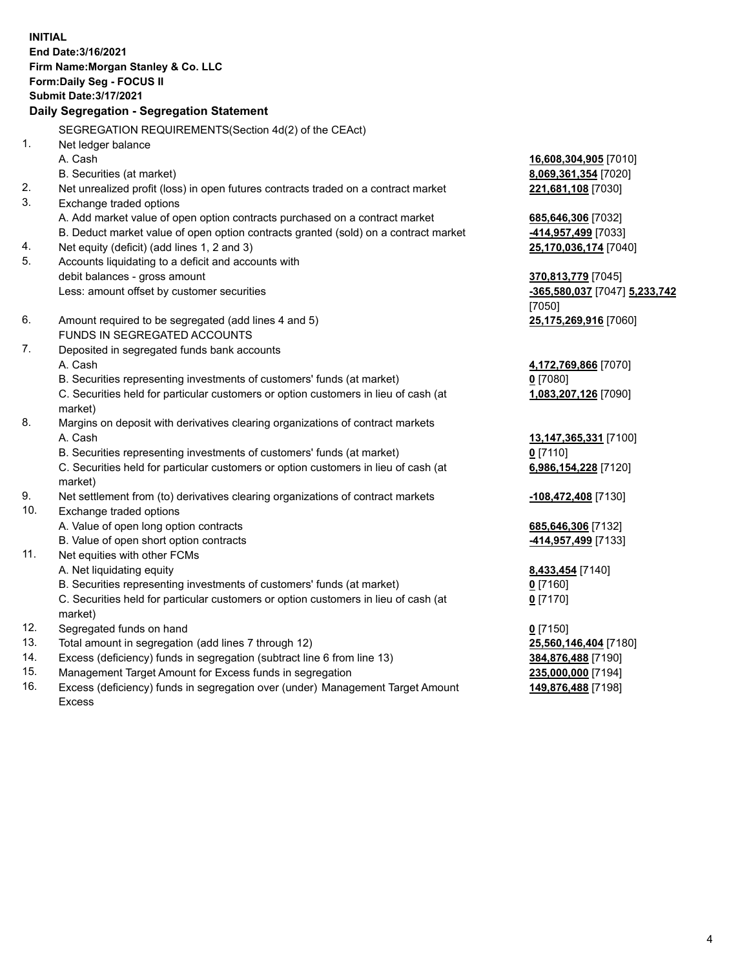**INITIAL End Date:3/16/2021 Firm Name:Morgan Stanley & Co. LLC Form:Daily Seg - FOCUS II Submit Date:3/17/2021 Daily Segregation - Segregation Statement** SEGREGATION REQUIREMENTS(Section 4d(2) of the CEAct) 1. Net ledger balance A. Cash **16,608,304,905** [7010] B. Securities (at market) **8,069,361,354** [7020] 2. Net unrealized profit (loss) in open futures contracts traded on a contract market **221,681,108** [7030] 3. Exchange traded options A. Add market value of open option contracts purchased on a contract market **685,646,306** [7032] B. Deduct market value of open option contracts granted (sold) on a contract market **-414,957,499** [7033] 4. Net equity (deficit) (add lines 1, 2 and 3) **25,170,036,174** [7040] 5. Accounts liquidating to a deficit and accounts with debit balances - gross amount **370,813,779** [7045] Less: amount offset by customer securities **-365,580,037** [7047] **5,233,742** [7050] 6. Amount required to be segregated (add lines 4 and 5) **25,175,269,916** [7060] FUNDS IN SEGREGATED ACCOUNTS 7. Deposited in segregated funds bank accounts A. Cash **4,172,769,866** [7070] B. Securities representing investments of customers' funds (at market) **0** [7080] C. Securities held for particular customers or option customers in lieu of cash (at market) **1,083,207,126** [7090] 8. Margins on deposit with derivatives clearing organizations of contract markets A. Cash **13,147,365,331** [7100] B. Securities representing investments of customers' funds (at market) **0** [7110] C. Securities held for particular customers or option customers in lieu of cash (at market) **6,986,154,228** [7120] 9. Net settlement from (to) derivatives clearing organizations of contract markets **-108,472,408** [7130] 10. Exchange traded options A. Value of open long option contracts **685,646,306** [7132] B. Value of open short option contracts **-414,957,499** [7133] 11. Net equities with other FCMs A. Net liquidating equity **8,433,454** [7140] B. Securities representing investments of customers' funds (at market) **0** [7160] C. Securities held for particular customers or option customers in lieu of cash (at market) **0** [7170] 12. Segregated funds on hand **0** [7150] 13. Total amount in segregation (add lines 7 through 12) **25,560,146,404** [7180] 14. Excess (deficiency) funds in segregation (subtract line 6 from line 13) **384,876,488** [7190] 15. Management Target Amount for Excess funds in segregation **235,000,000** [7194]

16. Excess (deficiency) funds in segregation over (under) Management Target Amount Excess

**149,876,488** [7198]